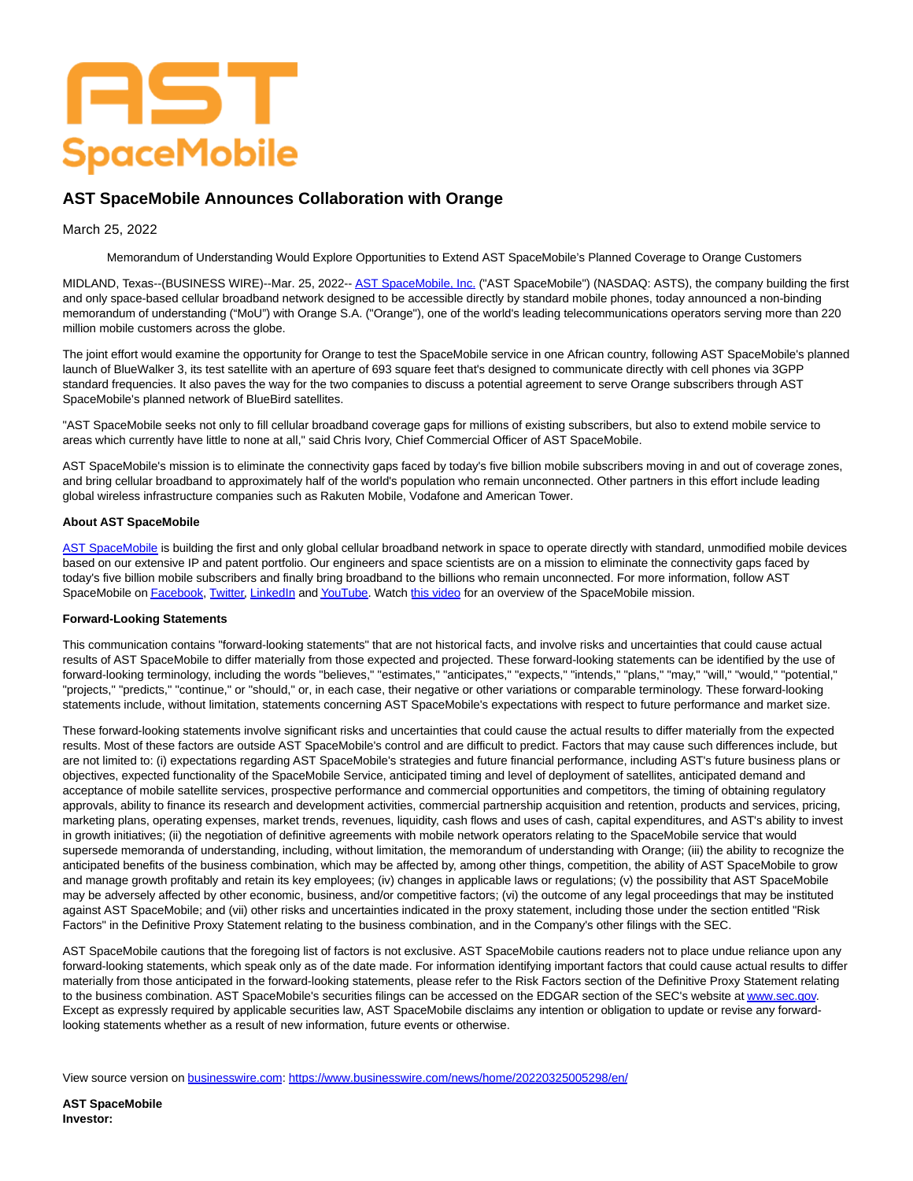## AST **SpaceMobile**

## **AST SpaceMobile Announces Collaboration with Orange**

March 25, 2022

Memorandum of Understanding Would Explore Opportunities to Extend AST SpaceMobile's Planned Coverage to Orange Customers

MIDLAND, Texas--(BUSINESS WIRE)--Mar. 25, 2022-[- AST SpaceMobile, Inc. \(](https://cts.businesswire.com/ct/CT?id=smartlink&url=https%3A%2F%2Fast-science.com%2Fspacemobile%2F&esheet=52622917&newsitemid=20220325005298&lan=en-US&anchor=AST+SpaceMobile%2C+Inc.&index=1&md5=0ccad44545790000f9f7f3099cb29276)"AST SpaceMobile") (NASDAQ: ASTS), the company building the first and only space-based cellular broadband network designed to be accessible directly by standard mobile phones, today announced a non-binding memorandum of understanding ("MoU") with Orange S.A. ("Orange"), one of the world's leading telecommunications operators serving more than 220 million mobile customers across the globe.

The joint effort would examine the opportunity for Orange to test the SpaceMobile service in one African country, following AST SpaceMobile's planned launch of BlueWalker 3, its test satellite with an aperture of 693 square feet that's designed to communicate directly with cell phones via 3GPP standard frequencies. It also paves the way for the two companies to discuss a potential agreement to serve Orange subscribers through AST SpaceMobile's planned network of BlueBird satellites.

"AST SpaceMobile seeks not only to fill cellular broadband coverage gaps for millions of existing subscribers, but also to extend mobile service to areas which currently have little to none at all," said Chris Ivory, Chief Commercial Officer of AST SpaceMobile.

AST SpaceMobile's mission is to eliminate the connectivity gaps faced by today's five billion mobile subscribers moving in and out of coverage zones, and bring cellular broadband to approximately half of the world's population who remain unconnected. Other partners in this effort include leading global wireless infrastructure companies such as Rakuten Mobile, Vodafone and American Tower.

## **About AST SpaceMobile**

[AST SpaceMobile i](https://cts.businesswire.com/ct/CT?id=smartlink&url=https%3A%2F%2Fast-science.com%2F&esheet=52622917&newsitemid=20220325005298&lan=en-US&anchor=AST+SpaceMobile&index=2&md5=83de7f06538cbdd491117004c146deeb)s building the first and only global cellular broadband network in space to operate directly with standard, unmodified mobile devices based on our extensive IP and patent portfolio. Our engineers and space scientists are on a mission to eliminate the connectivity gaps faced by today's five billion mobile subscribers and finally bring broadband to the billions who remain unconnected. For more information, follow AST SpaceMobile o[n Facebook,](https://cts.businesswire.com/ct/CT?id=smartlink&url=https%3A%2F%2Fwww.facebook.com%2FASTSpaceMobile&esheet=52622917&newsitemid=20220325005298&lan=en-US&anchor=Facebook&index=3&md5=2abcb248f93a04a8e9071176e0ba36e6) [Twitter,](https://cts.businesswire.com/ct/CT?id=smartlink&url=https%3A%2F%2Ftwitter.com%2FAST_SpaceMobile&esheet=52622917&newsitemid=20220325005298&lan=en-US&anchor=Twitter&index=4&md5=042dce2dfd5467926cbea9ddc3991699) [LinkedIn a](https://cts.businesswire.com/ct/CT?id=smartlink&url=https%3A%2F%2Fwww.linkedin.com%2Fcompany%2Fast-spacemobile%2F&esheet=52622917&newsitemid=20220325005298&lan=en-US&anchor=LinkedIn&index=5&md5=2f8f8c2356ae424db2b71620bf453ea8)n[d YouTube.](https://cts.businesswire.com/ct/CT?id=smartlink&url=https%3A%2F%2Fwww.youtube.com%2Fchannel%2FUCDr2JePebZFY-vwQaZueftg&esheet=52622917&newsitemid=20220325005298&lan=en-US&anchor=YouTube&index=6&md5=cb8633993e480867d5cdfd7bd293d0f1) Watch [this video f](https://cts.businesswire.com/ct/CT?id=smartlink&url=https%3A%2F%2Fwww.youtube.com%2Fwatch%3Fv%3DifnIv0Iz_i0&esheet=52622917&newsitemid=20220325005298&lan=en-US&anchor=this+video&index=7&md5=4f281b1321a016d65b631b5166e20e8d)or an overview of the SpaceMobile mission.

## **Forward-Looking Statements**

This communication contains "forward-looking statements" that are not historical facts, and involve risks and uncertainties that could cause actual results of AST SpaceMobile to differ materially from those expected and projected. These forward-looking statements can be identified by the use of forward-looking terminology, including the words "believes," "estimates," "anticipates," "expects," "intends," "plans," "may," "will," "would," "potential," "projects," "predicts," "continue," or "should," or, in each case, their negative or other variations or comparable terminology. These forward-looking statements include, without limitation, statements concerning AST SpaceMobile's expectations with respect to future performance and market size.

These forward-looking statements involve significant risks and uncertainties that could cause the actual results to differ materially from the expected results. Most of these factors are outside AST SpaceMobile's control and are difficult to predict. Factors that may cause such differences include, but are not limited to: (i) expectations regarding AST SpaceMobile's strategies and future financial performance, including AST's future business plans or objectives, expected functionality of the SpaceMobile Service, anticipated timing and level of deployment of satellites, anticipated demand and acceptance of mobile satellite services, prospective performance and commercial opportunities and competitors, the timing of obtaining regulatory approvals, ability to finance its research and development activities, commercial partnership acquisition and retention, products and services, pricing, marketing plans, operating expenses, market trends, revenues, liquidity, cash flows and uses of cash, capital expenditures, and AST's ability to invest in growth initiatives; (ii) the negotiation of definitive agreements with mobile network operators relating to the SpaceMobile service that would supersede memoranda of understanding, including, without limitation, the memorandum of understanding with Orange; (iii) the ability to recognize the anticipated benefits of the business combination, which may be affected by, among other things, competition, the ability of AST SpaceMobile to grow and manage growth profitably and retain its key employees; (iv) changes in applicable laws or regulations; (v) the possibility that AST SpaceMobile may be adversely affected by other economic, business, and/or competitive factors; (vi) the outcome of any legal proceedings that may be instituted against AST SpaceMobile; and (vii) other risks and uncertainties indicated in the proxy statement, including those under the section entitled "Risk Factors" in the Definitive Proxy Statement relating to the business combination, and in the Company's other filings with the SEC.

AST SpaceMobile cautions that the foregoing list of factors is not exclusive. AST SpaceMobile cautions readers not to place undue reliance upon any forward-looking statements, which speak only as of the date made. For information identifying important factors that could cause actual results to differ materially from those anticipated in the forward-looking statements, please refer to the Risk Factors section of the Definitive Proxy Statement relating to the business combination. AST SpaceMobile's securities filings can be accessed on the EDGAR section of the SEC's website a[t www.sec.gov.](https://cts.businesswire.com/ct/CT?id=smartlink&url=https%3A%2F%2Fwww.globenewswire.com%2FTracker%3Fdata%3DJNt8Aoc337WKp9C7INvlVt-67ACVKNqUZ2NYOY-keBQqz6NOlxIRaZgu4OZt1VOlcqc-92SDh29W6wWjtcSAXw%3D%3D&esheet=52622917&newsitemid=20220325005298&lan=en-US&anchor=www.sec.gov&index=8&md5=e29f33d3af6f9de4c4c70d23ec728e0d) Except as expressly required by applicable securities law, AST SpaceMobile disclaims any intention or obligation to update or revise any forwardlooking statements whether as a result of new information, future events or otherwise.

View source version on [businesswire.com:](http://businesswire.com/)<https://www.businesswire.com/news/home/20220325005298/en/>